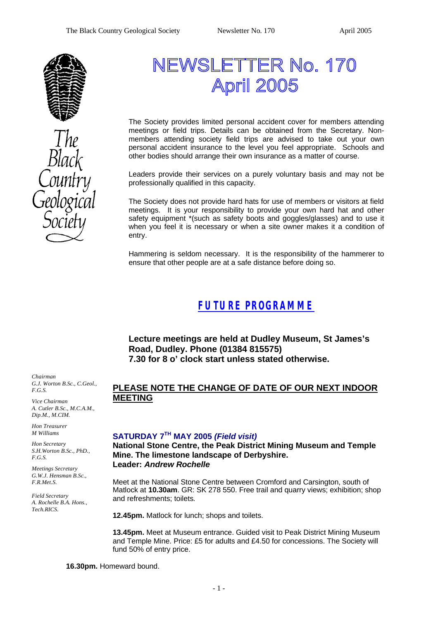

# NEWSLETTER No. 170 **April 2005**

The Society provides limited personal accident cover for members attending meetings or field trips. Details can be obtained from the Secretary. Nonmembers attending society field trips are advised to take out your own personal accident insurance to the level you feel appropriate. Schools and other bodies should arrange their own insurance as a matter of course.

Leaders provide their services on a purely voluntary basis and may not be professionally qualified in this capacity.

The Society does not provide hard hats for use of members or visitors at field meetings. It is your responsibility to provide your own hard hat and other safety equipment \*(such as safety boots and goggles/glasses) and to use it when you feel it is necessary or when a site owner makes it a condition of entry.

Hammering is seldom necessary. It is the responsibility of the hammerer to ensure that other people are at a safe distance before doing so.

### *FUTURE PROGRAMME*

**Lecture meetings are held at Dudley Museum, St James's Road, Dudley. Phone (01384 815575) 7.30 for 8 o' clock start unless stated otherwise.**

*Chairman G.J. Worton B.Sc., C.Geol., F.G.S.*

*Vice Chairman A. Cutler B.Sc., M.C.A.M., Dip.M., M.CIM.*

*Hon Treasurer M Williams* 

*Hon Secretary S.H.Worton B.Sc., PhD., F.G.S.*

*Meetings Secretary G.W.J. Hensman B.Sc., F.R.Met.S.*

*Field Secretary A. Rochelle B.A. Hons., Tech.RICS.*

### **PLEASE NOTE THE CHANGE OF DATE OF OUR NEXT INDOOR MEETING**

#### **SATURDAY 7TH MAY 2005** *(Field visit)*

**National Stone Centre, the Peak District Mining Museum and Temple Mine. The limestone landscape of Derbyshire. Leader:** *Andrew Rochelle*

Meet at the National Stone Centre between Cromford and Carsington, south of Matlock at **10.30am**. GR: SK 278 550. Free trail and quarry views; exhibition; shop and refreshments; toilets.

**12.45pm.** Matlock for lunch; shops and toilets.

**13.45pm.** Meet at Museum entrance. Guided visit to Peak District Mining Museum and Temple Mine. Price: £5 for adults and £4.50 for concessions. The Society will fund 50% of entry price.

**16.30pm.** Homeward bound.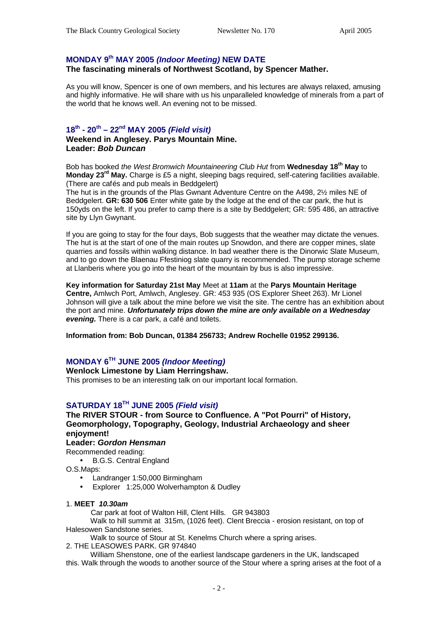#### **MONDAY 9th MAY 2005** *(Indoor Meeting)* **NEW DATE**

#### **The fascinating minerals of Northwest Scotland, by Spencer Mather.**

As you will know, Spencer is one of own members, and his lectures are always relaxed, amusing and highly informative. He will share with us his unparalleled knowledge of minerals from a part of the world that he knows well. An evening not to be missed.

#### **18th - 20th – 22nd MAY 2005** *(Field visit)*

**Weekend in Anglesey. Parys Mountain Mine. Leader:** *Bob Duncan*

Bob has booked *the West Bromwich Mountaineering Club Hut* from **Wednesday 18th May** to **Monday 23rd May.** Charge is £5 a night, sleeping bags required, self-catering facilities available. (There are cafés and pub meals in Beddgelert)

The hut is in the grounds of the Plas Gwnant Adventure Centre on the A498, 2½ miles NE of Beddgelert. **GR: 630 506** Enter white gate by the lodge at the end of the car park, the hut is 150yds on the left. If you prefer to camp there is a site by Beddgelert; GR: 595 486, an attractive site by Llyn Gwynant.

If you are going to stay for the four days, Bob suggests that the weather may dictate the venues. The hut is at the start of one of the main routes up Snowdon, and there are copper mines, slate quarries and fossils within walking distance. In bad weather there is the Dinorwic Slate Museum, and to go down the Blaenau Ffestiniog slate quarry is recommended. The pump storage scheme at Llanberis where you go into the heart of the mountain by bus is also impressive.

**Key information for Saturday 21st May** Meet at **11am** at the **Parys Mountain Heritage Centre,** Amlwch Port, Amlwch, Anglesey. GR: 453 935 (OS Explorer Sheet 263). Mr Lionel Johnson will give a talk about the mine before we visit the site. The centre has an exhibition about the port and mine. *Unfortunately trips down the mine are only available on a Wednesday evening.* There is a car park, a café and toilets.

**Information from: Bob Duncan, 01384 256733; Andrew Rochelle 01952 299136.**

#### **MONDAY 6TH JUNE 2005** *(Indoor Meeting)*

#### **Wenlock Limestone by Liam Herringshaw.**

This promises to be an interesting talk on our important local formation.

#### **SATURDAY 18TH JUNE 2005** *(Field visit)*

**The RIVER STOUR - from Source to Confluence. A "Pot Pourri" of History, Geomorphology, Topography, Geology, Industrial Archaeology and sheer enjoyment!**

#### **Leader:** *Gordon Hensman*

Recommended reading:

• B.G.S. Central England

O.S.Maps:

- Landranger 1:50,000 Birmingham
- Explorer 1:25,000 Wolverhampton & Dudley

#### 1. **MEET** *10.30am*

Car park at foot of Walton Hill, Clent Hills. GR 943803

 Walk to hill summit at 315m, (1026 feet). Clent Breccia - erosion resistant, on top of Halesowen Sandstone series.

Walk to source of Stour at St. Kenelms Church where a spring arises.

2. THE LEASOWES PARK. GR 974840

 William Shenstone, one of the earliest landscape gardeners in the UK, landscaped this. Walk through the woods to another source of the Stour where a spring arises at the foot of a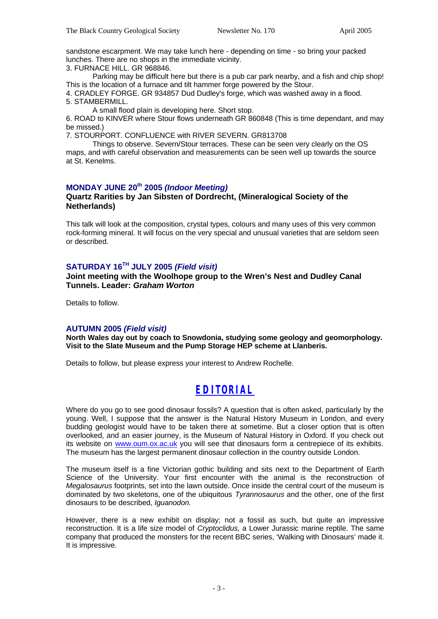sandstone escarpment. We may take lunch here - depending on time - so bring your packed lunches. There are no shops in the immediate vicinity.

3. FURNACE HILL. GR 968846.

Parking may be difficult here but there is a pub car park nearby, and a fish and chip shop! This is the location of a furnace and tilt hammer forge powered by the Stour.

4. CRADLEY FORGE. GR 934857 Dud Dudley's forge, which was washed away in a flood. 5. STAMBERMILL.

A small flood plain is developing here. Short stop.

6. ROAD to KINVER where Stour flows underneath GR 860848 (This is time dependant, and may be missed.)

7. STOURPORT. CONFLUENCE with RIVER SEVERN. GR813708

Things to observe. Severn/Stour terraces. These can be seen very clearly on the OS maps, and with careful observation and measurements can be seen well up towards the source at St. Kenelms.

#### **MONDAY JUNE 20th 2005** *(Indoor Meeting)*

#### **Quartz Rarities by Jan Sibsten of Dordrecht, (Mineralogical Society of the Netherlands)**

This talk will look at the composition, crystal types, colours and many uses of this very common rock-forming mineral. It will focus on the very special and unusual varieties that are seldom seen or described.

#### **SATURDAY 16TH JULY 2005** *(Field visit)*

**Joint meeting with the Woolhope group to the Wren's Nest and Dudley Canal Tunnels. Leader:** *Graham Worton*

Details to follow.

#### **AUTUMN 2005** *(Field visit)*

**North Wales day out by coach to Snowdonia, studying some geology and geomorphology. Visit to the Slate Museum and the Pump Storage HEP scheme at Llanberis.**

Details to follow, but please express your interest to Andrew Rochelle.

### *EDITORIAL*

Where do you go to see good dinosaur fossils? A question that is often asked, particularly by the young. Well, I suppose that the answer is the Natural History Museum in London, and every budding geologist would have to be taken there at sometime. But a closer option that is often overlooked, and an easier journey, is the Museum of Natural History in Oxford. If you check out its website on www.oum.ox.ac.uk you will see that dinosaurs form a centrepiece of its exhibits. The museum has the largest permanent dinosaur collection in the country outside London.

The museum itself is a fine Victorian gothic building and sits next to the Department of Earth Science of the University. Your first encounter with the animal is the reconstruction of *Megalosaurus* footprints, set into the lawn outside. Once inside the central court of the museum is dominated by two skeletons, one of the ubiquitous *Tyrannosaurus* and the other, one of the first dinosaurs to be described, *Iguanodon.*

However, there is a new exhibit on display; not a fossil as such, but quite an impressive reconstruction. It is a life size model of *Cryptoclidus,* a Lower Jurassic marine reptile. The same company that produced the monsters for the recent BBC series, 'Walking with Dinosaurs' made it. It is impressive.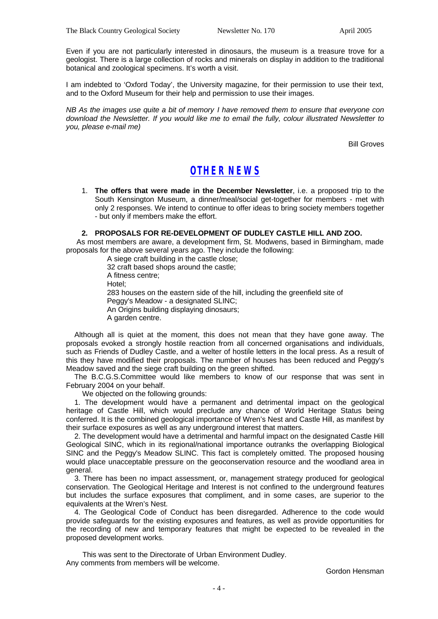Even if you are not particularly interested in dinosaurs, the museum is a treasure trove for a geologist. There is a large collection of rocks and minerals on display in addition to the traditional botanical and zoological specimens. It's worth a visit.

I am indebted to 'Oxford Today', the University magazine, for their permission to use their text, and to the Oxford Museum for their help and permission to use their images.

*NB As the images use quite a bit of memory I have removed them to ensure that everyone con download the Newsletter. If you would like me to email the fully, colour illustrated Newsletter to you, please e-mail me)*

Bill Groves

### *OTHER NEWS*

1. **The offers that were made in the December Newsletter**, i.e. a proposed trip to the South Kensington Museum, a dinner/meal/social get-together for members - met with only 2 responses. We intend to continue to offer ideas to bring society members together - but only if members make the effort.

#### **2. PROPOSALS FOR RE-DEVELOPMENT OF DUDLEY CASTLE HILL AND ZOO.**

 As most members are aware, a development firm, St. Modwens, based in Birmingham, made proposals for the above several years ago. They include the following:

> A siege craft building in the castle close; 32 craft based shops around the castle; A fitness centre; Hotel; 283 houses on the eastern side of the hill, including the greenfield site of Peggy's Meadow - a designated SLINC; An Origins building displaying dinosaurs; A garden centre.

 Although all is quiet at the moment, this does not mean that they have gone away. The proposals evoked a strongly hostile reaction from all concerned organisations and individuals, such as Friends of Dudley Castle, and a welter of hostile letters in the local press. As a result of this they have modified their proposals. The number of houses has been reduced and Peggy's Meadow saved and the siege craft building on the green shifted.

 The B.C.G.S.Committee would like members to know of our response that was sent in February 2004 on your behalf.

We objected on the following grounds:

 1. The development would have a permanent and detrimental impact on the geological heritage of Castle Hill, which would preclude any chance of World Heritage Status being conferred. It is the combined geological importance of Wren's Nest and Castle Hill, as manifest by their surface exposures as well as any underground interest that matters.

 2. The development would have a detrimental and harmful impact on the designated Castle Hill Geological SINC, which in its regional/national importance outranks the overlapping Biological SINC and the Peggy's Meadow SLINC. This fact is completely omitted. The proposed housing would place unacceptable pressure on the geoconservation resource and the woodland area in general.

 3. There has been no impact assessment, or, management strategy produced for geological conservation. The Geological Heritage and Interest is not confined to the underground features but includes the surface exposures that compliment, and in some cases, are superior to the equivalents at the Wren's Nest.

 4. The Geological Code of Conduct has been disregarded. Adherence to the code would provide safeguards for the existing exposures and features, as well as provide opportunities for the recording of new and temporary features that might be expected to be revealed in the proposed development works.

 This was sent to the Directorate of Urban Environment Dudley. Any comments from members will be welcome.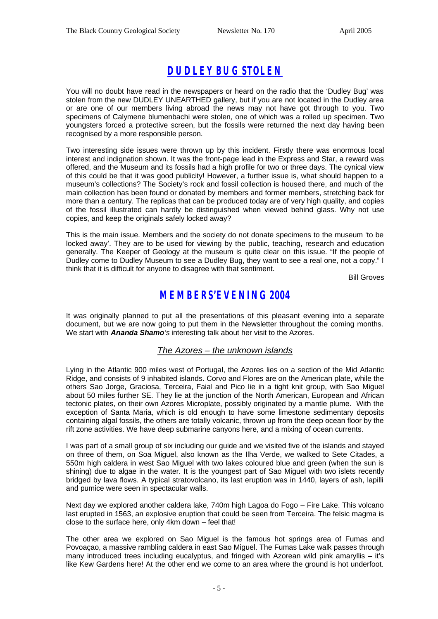## *DUDLEY BUG STOLEN*

You will no doubt have read in the newspapers or heard on the radio that the 'Dudley Bug' was stolen from the new DUDLEY UNEARTHED gallery, but if you are not located in the Dudley area or are one of our members living abroad the news may not have got through to you. Two specimens of Calymene blumenbachi were stolen, one of which was a rolled up specimen. Two youngsters forced a protective screen, but the fossils were returned the next day having been recognised by a more responsible person.

Two interesting side issues were thrown up by this incident. Firstly there was enormous local interest and indignation shown. It was the front-page lead in the Express and Star, a reward was offered, and the Museum and its fossils had a high profile for two or three days. The cynical view of this could be that it was good publicity! However, a further issue is, what should happen to a museum's collections? The Society's rock and fossil collection is housed there, and much of the main collection has been found or donated by members and former members, stretching back for more than a century. The replicas that can be produced today are of very high quality, and copies of the fossil illustrated can hardly be distinguished when viewed behind glass. Why not use copies, and keep the originals safely locked away?

This is the main issue. Members and the society do not donate specimens to the museum 'to be locked away'. They are to be used for viewing by the public, teaching, research and education generally. The Keeper of Geology at the museum is quite clear on this issue. "If the people of Dudley come to Dudley Museum to see a Dudley Bug, they want to see a real one, not a copy." I think that it is difficult for anyone to disagree with that sentiment.

Bill Groves

### *MEMBERS'EVENING 2004*

It was originally planned to put all the presentations of this pleasant evening into a separate document, but we are now going to put them in the Newsletter throughout the coming months. We start with *Ananda Shamo's* interesting talk about her visit to the Azores.

#### *The Azores – the unknown islands*

Lying in the Atlantic 900 miles west of Portugal, the Azores lies on a section of the Mid Atlantic Ridge, and consists of 9 inhabited islands. Corvo and Flores are on the American plate, while the others Sao Jorge, Graciosa, Terceira, Faial and Pico lie in a tight knit group, with Sao Miguel about 50 miles further SE. They lie at the junction of the North American, European and African tectonic plates, on their own Azores Microplate, possibly originated by a mantle plume. With the exception of Santa Maria, which is old enough to have some limestone sedimentary deposits containing algal fossils, the others are totally volcanic, thrown up from the deep ocean floor by the rift zone activities. We have deep submarine canyons here, and a mixing of ocean currents.

I was part of a small group of six including our guide and we visited five of the islands and stayed on three of them, on Soa Miguel, also known as the Ilha Verde, we walked to Sete Citades, a 550m high caldera in west Sao Miguel with two lakes coloured blue and green (when the sun is shining) due to algae in the water. It is the youngest part of Sao Miguel with two islets recently bridged by lava flows. A typical stratovolcano, its last eruption was in 1440, layers of ash, lapilli and pumice were seen in spectacular walls.

Next day we explored another caldera lake, 740m high Lagoa do Fogo – Fire Lake. This volcano last erupted in 1563, an explosive eruption that could be seen from Terceira. The felsic magma is close to the surface here, only 4km down – feel that!

The other area we explored on Sao Miguel is the famous hot springs area of Fumas and Povoaçao, a massive rambling caldera in east Sao Miguel. The Fumas Lake walk passes through many introduced trees including eucalyptus, and fringed with Azorean wild pink amaryllis – it's like Kew Gardens here! At the other end we come to an area where the ground is hot underfoot.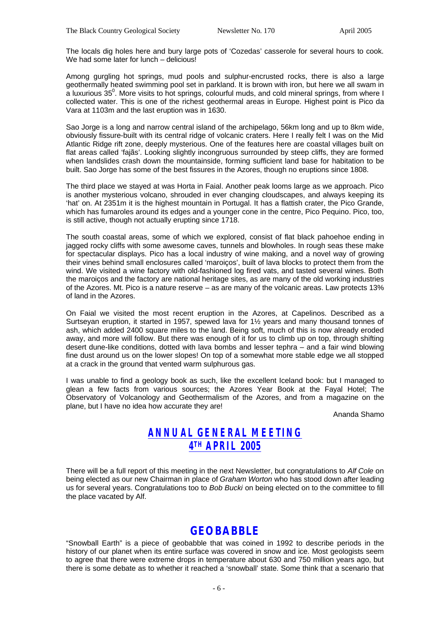The locals dig holes here and bury large pots of 'Cozedas' casserole for several hours to cook. We had some later for lunch – delicious!

Among gurgling hot springs, mud pools and sulphur-encrusted rocks, there is also a large geothermally heated swimming pool set in parkland. It is brown with iron, but here we all swam in  $\overline{a}$  luxurious 35<sup>0</sup>. More visits to hot springs, colourful muds, and cold mineral springs, from where I collected water. This is one of the richest geothermal areas in Europe. Highest point is Pico da Vara at 1103m and the last eruption was in 1630.

Sao Jorge is a long and narrow central island of the archipelago, 56km long and up to 8km wide, obviously fissure-built with its central ridge of volcanic craters. Here I really felt I was on the Mid Atlantic Ridge rift zone, deeply mysterious. One of the features here are coastal villages built on flat areas called 'fajãs'. Looking slightly incongruous surrounded by steep cliffs, they are formed when landslides crash down the mountainside, forming sufficient land base for habitation to be built. Sao Jorge has some of the best fissures in the Azores, though no eruptions since 1808.

The third place we stayed at was Horta in Faial. Another peak looms large as we approach. Pico is another mysterious volcano, shrouded in ever changing cloudscapes, and always keeping its 'hat' on. At 2351m it is the highest mountain in Portugal. It has a flattish crater, the Pico Grande, which has fumaroles around its edges and a younger cone in the centre, Pico Pequino. Pico, too, is still active, though not actually erupting since 1718.

The south coastal areas, some of which we explored, consist of flat black pahoehoe ending in jagged rocky cliffs with some awesome caves, tunnels and blowholes. In rough seas these make for spectacular displays. Pico has a local industry of wine making, and a novel way of growing their vines behind small enclosures called 'maroiços', built of lava blocks to protect them from the wind. We visited a wine factory with old-fashioned log fired vats, and tasted several wines. Both the maroiços and the factory are national heritage sites, as are many of the old working industries of the Azores. Mt. Pico is a nature reserve – as are many of the volcanic areas. Law protects 13% of land in the Azores.

On Faial we visited the most recent eruption in the Azores, at Capelinos. Described as a Surtseyan eruption, it started in 1957, spewed lava for 1½ years and many thousand tonnes of ash, which added 2400 square miles to the land. Being soft, much of this is now already eroded away, and more will follow. But there was enough of it for us to climb up on top, through shifting desert dune-like conditions, dotted with lava bombs and lesser tephra – and a fair wind blowing fine dust around us on the lower slopes! On top of a somewhat more stable edge we all stopped at a crack in the ground that vented warm sulphurous gas.

I was unable to find a geology book as such, like the excellent Iceland book: but I managed to glean a few facts from various sources; the Azores Year Book at the Fayal Hotel; The Observatory of Volcanology and Geothermalism of the Azores, and from a magazine on the plane, but I have no idea how accurate they are!

Ananda Shamo

### *ANNUAL GENERAL MEETING 4 TH APRIL 2005*

There will be a full report of this meeting in the next Newsletter, but congratulations to *Alf Cole* on being elected as our new Chairman in place of *Graham Worton* who has stood down after leading us for several years. Congratulations too to *Bob Bucki* on being elected on to the committee to fill the place vacated by Alf.

### **GEOBABBLE**

"Snowball Earth" is a piece of geobabble that was coined in 1992 to describe periods in the history of our planet when its entire surface was covered in snow and ice. Most geologists seem to agree that there were extreme drops in temperature about 630 and 750 million years ago, but there is some debate as to whether it reached a 'snowball' state. Some think that a scenario that